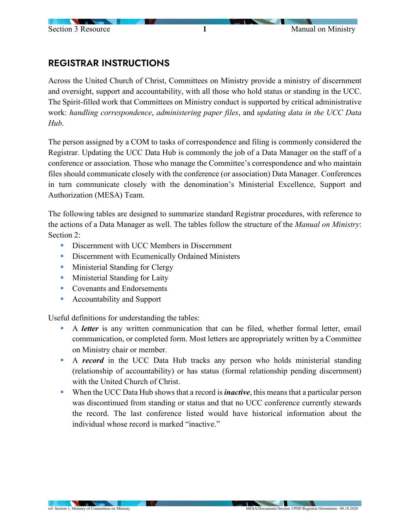## REGISTRAR INSTRUCTIONS

Across the United Church of Christ, Committees on Ministry provide a ministry of discernment and oversight, support and accountability, with all those who hold status or standing in the UCC. The Spirit-filled work that Committees on Ministry conduct is supported by critical administrative work: *handling correspondence*, *administering paper files*, and *updating data in the UCC Data Hub*.

The person assigned by a COM to tasks of correspondence and filing is commonly considered the Registrar. Updating the UCC Data Hub is commonly the job of a Data Manager on the staff of a conference or association. Those who manage the Committee's correspondence and who maintain files should communicate closely with the conference (or association) Data Manager. Conferences in turn communicate closely with the denomination's Ministerial Excellence, Support and Authorization (MESA) Team.

The following tables are designed to summarize standard Registrar procedures, with reference to the actions of a Data Manager as well. The tables follow the structure of the *Manual on Ministry*: Section 2:

- Discernment with UCC Members in Discernment
- **EXECUTE:** Discernment with Ecumenically Ordained Ministers
- **Ministerial Standing for Clergy**
- **Ministerial Standing for Laity**
- **Covenants and Endorsements**
- Accountability and Support

Useful definitions for understanding the tables:

- A *letter* is any written communication that can be filed, whether formal letter, email communication, or completed form. Most letters are appropriately written by a Committee on Ministry chair or member.
- A **record** in the UCC Data Hub tracks any person who holds ministerial standing (relationship of accountability) or has status (formal relationship pending discernment) with the United Church of Christ.
- When the UCC Data Hub shows that a record is *inactive*, this means that a particular person was discontinued from standing or status and that no UCC conference currently stewards the record. The last conference listed would have historical information about the individual whose record is marked "inactive."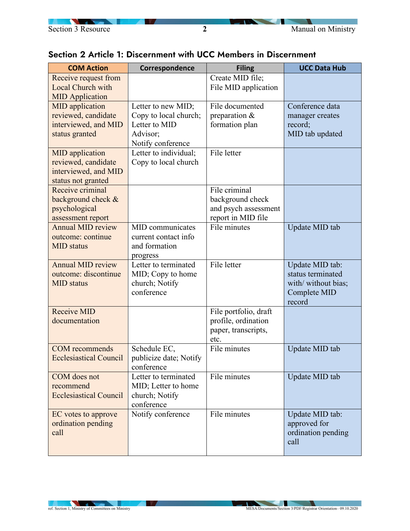

| <b>COM Action</b>                      | Correspondence         | <b>Filing</b>         | <b>UCC Data Hub</b> |
|----------------------------------------|------------------------|-----------------------|---------------------|
| Receive request from                   |                        | Create MID file;      |                     |
| Local Church with                      |                        | File MID application  |                     |
| <b>MID Application</b>                 |                        |                       |                     |
| <b>MID</b> application                 | Letter to new MID;     | File documented       | Conference data     |
| reviewed, candidate                    | Copy to local church;  | preparation &         | manager creates     |
| interviewed, and MID                   | Letter to MID          | formation plan        | record;             |
| status granted                         | Advisor;               |                       | MID tab updated     |
|                                        | Notify conference      |                       |                     |
| <b>MID</b> application                 | Letter to individual;  | File letter           |                     |
| reviewed, candidate                    | Copy to local church   |                       |                     |
| interviewed, and MID                   |                        |                       |                     |
| status not granted<br>Receive criminal |                        | File criminal         |                     |
| background check &                     |                        | background check      |                     |
|                                        |                        | and psych assessment  |                     |
| psychological<br>assessment report     |                        | report in MID file    |                     |
| <b>Annual MID review</b>               | MID communicates       | File minutes          | Update MID tab      |
| outcome: continue                      | current contact info   |                       |                     |
| <b>MID</b> status                      | and formation          |                       |                     |
|                                        | progress               |                       |                     |
| <b>Annual MID review</b>               | Letter to terminated   | File letter           | Update MID tab:     |
| outcome: discontinue                   | MID; Copy to home      |                       | status terminated   |
| <b>MID</b> status                      | church; Notify         |                       | with/ without bias; |
|                                        | conference             |                       | Complete MID        |
|                                        |                        |                       | record              |
| <b>Receive MID</b>                     |                        | File portfolio, draft |                     |
| documentation                          |                        | profile, ordination   |                     |
|                                        |                        | paper, transcripts,   |                     |
|                                        |                        | etc.                  |                     |
| <b>COM</b> recommends                  | Schedule EC,           | File minutes          | Update MID tab      |
| <b>Ecclesiastical Council</b>          | publicize date; Notify |                       |                     |
|                                        | conference             |                       |                     |
| COM does not                           | Letter to terminated   | File minutes          | Update MID tab      |
| recommend                              | MID; Letter to home    |                       |                     |
| <b>Ecclesiastical Council</b>          | church; Notify         |                       |                     |
|                                        | conference             |                       |                     |
| EC votes to approve                    | Notify conference      | File minutes          | Update MID tab:     |
| ordination pending                     |                        |                       | approved for        |
| call                                   |                        |                       | ordination pending  |
|                                        |                        |                       | call                |

## Section 2 Article 1: Discernment with UCC Members in Discernment

**IN A**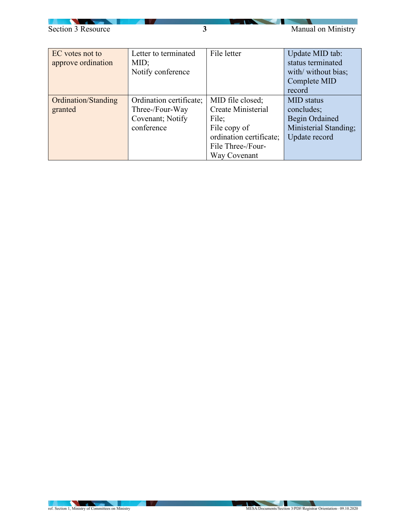

∼

| EC votes not to     | Letter to terminated    | File letter             | Update MID tab:       |
|---------------------|-------------------------|-------------------------|-----------------------|
| approve ordination  | MID;                    |                         | status terminated     |
|                     | Notify conference       |                         | with/ without bias;   |
|                     |                         |                         | Complete MID          |
|                     |                         |                         | record                |
| Ordination/Standing | Ordination certificate; | MID file closed;        | <b>MID</b> status     |
| granted             | Three-/Four-Way         | Create Ministerial      | concludes;            |
|                     | Covenant; Notify        | File;                   | <b>Begin Ordained</b> |
|                     | conference              | File copy of            | Ministerial Standing; |
|                     |                         | ordination certificate; | Update record         |
|                     |                         | File Three-/Four-       |                       |
|                     |                         | Way Covenant            |                       |

**AND VALUE**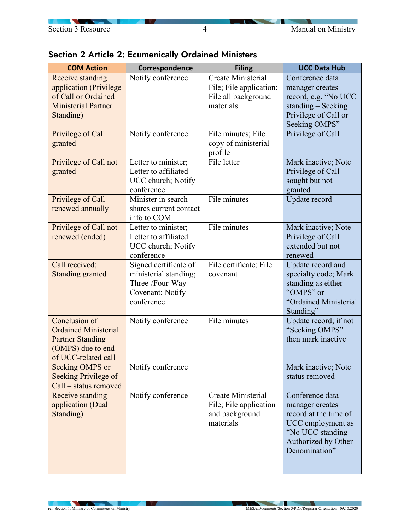| <b>COM Action</b>                                                                                                   | Correspondence                                                                                      | <b>Filing</b>                                                                            | <b>UCC Data Hub</b>                                                                                                                            |
|---------------------------------------------------------------------------------------------------------------------|-----------------------------------------------------------------------------------------------------|------------------------------------------------------------------------------------------|------------------------------------------------------------------------------------------------------------------------------------------------|
| Receive standing<br>application (Privilege<br>of Call or Ordained<br><b>Ministerial Partner</b><br>Standing)        | Notify conference                                                                                   | <b>Create Ministerial</b><br>File; File application;<br>File all background<br>materials | Conference data<br>manager creates<br>record, e.g. "No UCC<br>standing $-$ Seeking<br>Privilege of Call or<br>Seeking OMPS"                    |
| Privilege of Call<br>granted                                                                                        | Notify conference                                                                                   | File minutes; File<br>copy of ministerial<br>profile                                     | Privilege of Call                                                                                                                              |
| Privilege of Call not<br>granted                                                                                    | Letter to minister;<br>Letter to affiliated<br>UCC church; Notify<br>conference                     | File letter                                                                              | Mark inactive; Note<br>Privilege of Call<br>sought but not<br>granted                                                                          |
| Privilege of Call<br>renewed annually                                                                               | Minister in search<br>shares current contact<br>info to COM                                         | File minutes                                                                             | Update record                                                                                                                                  |
| Privilege of Call not<br>renewed (ended)                                                                            | Letter to minister;<br>Letter to affiliated<br>UCC church; Notify<br>conference                     | File minutes                                                                             | Mark inactive; Note<br>Privilege of Call<br>extended but not<br>renewed                                                                        |
| Call received;<br><b>Standing granted</b>                                                                           | Signed certificate of<br>ministerial standing;<br>Three-/Four-Way<br>Covenant; Notify<br>conference | File certificate; File<br>covenant                                                       | Update record and<br>specialty code; Mark<br>standing as either<br>"OMPS" or<br>"Ordained Ministerial<br>Standing"                             |
| Conclusion of<br><b>Ordained Ministerial</b><br><b>Partner Standing</b><br>(OMPS) due to end<br>of UCC-related call | Notify conference                                                                                   | File minutes                                                                             | Update record; if not<br>"Seeking OMPS"<br>then mark inactive                                                                                  |
| Seeking OMPS or<br>Seeking Privilege of<br>Call - status removed                                                    | Notify conference                                                                                   |                                                                                          | Mark inactive; Note<br>status removed                                                                                                          |
| Receive standing<br>application (Dual<br>Standing)                                                                  | Notify conference                                                                                   | Create Ministerial<br>File; File application<br>and background<br>materials              | Conference data<br>manager creates<br>record at the time of<br>UCC employment as<br>"No UCC standing -<br>Authorized by Other<br>Denomination" |

## Section 2 Article 2: Ecumenically Ordained Ministers

**IV**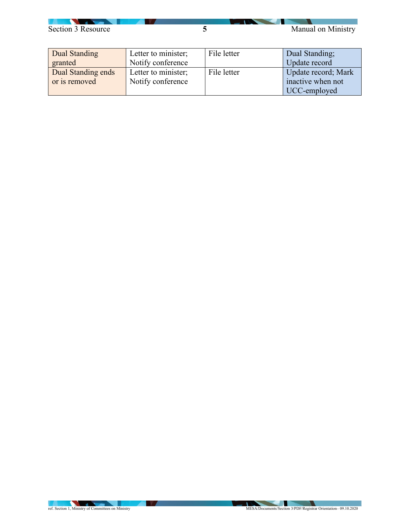## Section 3 Resource **5** Manual on Ministry

| Dual Standing      | Letter to minister; | File letter | Dual Standing;      |
|--------------------|---------------------|-------------|---------------------|
| granted            | Notify conference   |             | Update record       |
| Dual Standing ends | Letter to minister; | File letter | Update record; Mark |
| or is removed      | Notify conference   |             | inactive when not   |
|                    |                     |             | UCC-employed        |

**A** V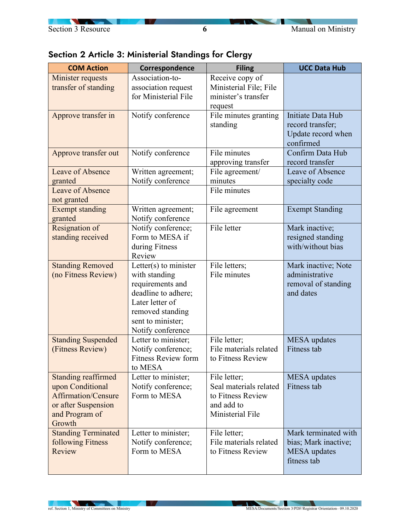|  |  |  |  | Section 2 Article 3: Ministerial Standings for Clergy |  |  |
|--|--|--|--|-------------------------------------------------------|--|--|
|--|--|--|--|-------------------------------------------------------|--|--|

| <b>COM Action</b>                                                                                                        | Correspondence                                                                                                                                                     | <b>Filing</b>                                                                                 | <b>UCC Data Hub</b>                                                                |
|--------------------------------------------------------------------------------------------------------------------------|--------------------------------------------------------------------------------------------------------------------------------------------------------------------|-----------------------------------------------------------------------------------------------|------------------------------------------------------------------------------------|
| Minister requests<br>transfer of standing                                                                                | Association-to-<br>association request<br>for Ministerial File                                                                                                     | Receive copy of<br>Ministerial File; File<br>minister's transfer<br>request                   |                                                                                    |
| Approve transfer in                                                                                                      | Notify conference                                                                                                                                                  | File minutes granting<br>standing                                                             | Initiate Data Hub<br>record transfer;<br>Update record when<br>confirmed           |
| Approve transfer out                                                                                                     | Notify conference                                                                                                                                                  | File minutes<br>approving transfer                                                            | Confirm Data Hub<br>record transfer                                                |
| Leave of Absence<br>granted<br>Leave of Absence                                                                          | Written agreement;<br>Notify conference                                                                                                                            | File agreement/<br>minutes<br>File minutes                                                    | Leave of Absence<br>specialty code                                                 |
| not granted                                                                                                              |                                                                                                                                                                    |                                                                                               |                                                                                    |
| <b>Exempt standing</b><br>granted                                                                                        | Written agreement;<br>Notify conference                                                                                                                            | File agreement                                                                                | <b>Exempt Standing</b>                                                             |
| Resignation of<br>standing received                                                                                      | Notify conference;<br>Form to MESA if<br>during Fitness<br>Review                                                                                                  | File letter                                                                                   | Mark inactive;<br>resigned standing<br>with/without bias                           |
| <b>Standing Removed</b><br>(no Fitness Review)                                                                           | Letter(s) to minister<br>with standing<br>requirements and<br>deadline to adhere;<br>Later letter of<br>removed standing<br>sent to minister;<br>Notify conference | File letters;<br>File minutes                                                                 | Mark inactive; Note<br>administrative<br>removal of standing<br>and dates          |
| <b>Standing Suspended</b><br>(Fitness Review)                                                                            | Letter to minister;<br>Notify conference;<br><b>Fitness Review form</b><br>to MESA                                                                                 | File letter;<br>File materials related<br>to Fitness Review                                   | <b>MESA</b> updates<br>Fitness tab                                                 |
| <b>Standing reaffirmed</b><br>upon Conditional<br>Affirmation/Censure<br>or after Suspension<br>and Program of<br>Growth | Letter to minister;<br>Notify conference;<br>Form to MESA                                                                                                          | File letter;<br>Seal materials related<br>to Fitness Review<br>and add to<br>Ministerial File | MESA updates<br>Fitness tab                                                        |
| <b>Standing Terminated</b><br>following Fitness<br>Review                                                                | Letter to minister;<br>Notify conference;<br>Form to MESA                                                                                                          | File letter;<br>File materials related<br>to Fitness Review                                   | Mark terminated with<br>bias; Mark inactive;<br><b>MESA</b> updates<br>fitness tab |

**AND AND IN**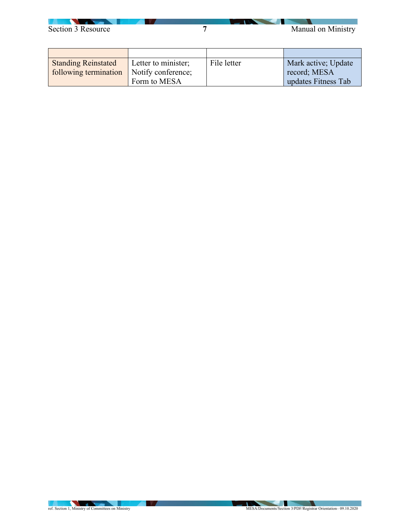

| <b>Standing Reinstated</b> | Letter to minister; | File letter | Mark active; Update |
|----------------------------|---------------------|-------------|---------------------|
| following termination      | Notify conference;  |             | record; MESA        |
|                            | Form to MESA        |             | updates Fitness Tab |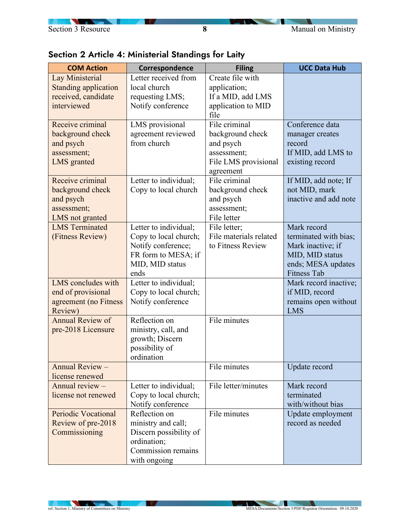**C** 

∼

| Section 2 Article 4: Ministerial Standings for Laity |  |
|------------------------------------------------------|--|
|------------------------------------------------------|--|

| <b>COM Action</b>                                                                    | Correspondence                                                                                                         | <b>Filing</b>                                                                                      | <b>UCC Data Hub</b>                                                                                                      |
|--------------------------------------------------------------------------------------|------------------------------------------------------------------------------------------------------------------------|----------------------------------------------------------------------------------------------------|--------------------------------------------------------------------------------------------------------------------------|
| Lay Ministerial<br><b>Standing application</b><br>received, candidate<br>interviewed | Letter received from<br>local church<br>requesting LMS;<br>Notify conference                                           | Create file with<br>application;<br>If a MID, add LMS<br>application to MID<br>file                |                                                                                                                          |
| Receive criminal<br>background check<br>and psych<br>assessment;<br>LMS granted      | LMS provisional<br>agreement reviewed<br>from church                                                                   | File criminal<br>background check<br>and psych<br>assessment;<br>File LMS provisional<br>agreement | Conference data<br>manager creates<br>record<br>If MID, add LMS to<br>existing record                                    |
| Receive criminal<br>background check<br>and psych<br>assessment;<br>LMS not granted  | Letter to individual;<br>Copy to local church                                                                          | File criminal<br>background check<br>and psych<br>assessment;<br>File letter                       | If MID, add note; If<br>not MID, mark<br>inactive and add note                                                           |
| <b>LMS</b> Terminated<br>(Fitness Review)                                            | Letter to individual;<br>Copy to local church;<br>Notify conference;<br>FR form to MESA; if<br>MID, MID status<br>ends | File letter;<br>File materials related<br>to Fitness Review                                        | Mark record<br>terminated with bias;<br>Mark inactive; if<br>MID, MID status<br>ends; MESA updates<br><b>Fitness Tab</b> |
| LMS concludes with<br>end of provisional<br>agreement (no Fitness<br>Review)         | Letter to individual;<br>Copy to local church;<br>Notify conference                                                    |                                                                                                    | Mark record inactive;<br>if MID, record<br>remains open without<br><b>LMS</b>                                            |
| <b>Annual Review of</b><br>pre-2018 Licensure                                        | Reflection on<br>ministry, call, and<br>growth; Discern<br>possibility of<br>ordination                                | File minutes                                                                                       |                                                                                                                          |
| Annual Review -<br>license renewed                                                   |                                                                                                                        | File minutes                                                                                       | Update record                                                                                                            |
| Annual review -<br>license not renewed                                               | Letter to individual;<br>Copy to local church;<br>Notify conference                                                    | File letter/minutes                                                                                | Mark record<br>terminated<br>with/without bias                                                                           |
| <b>Periodic Vocational</b><br>Review of pre-2018<br>Commissioning                    | Reflection on<br>ministry and call;<br>Discern possibility of<br>ordination;<br>Commission remains<br>with ongoing     | File minutes                                                                                       | Update employment<br>record as needed                                                                                    |

**AND VALUE**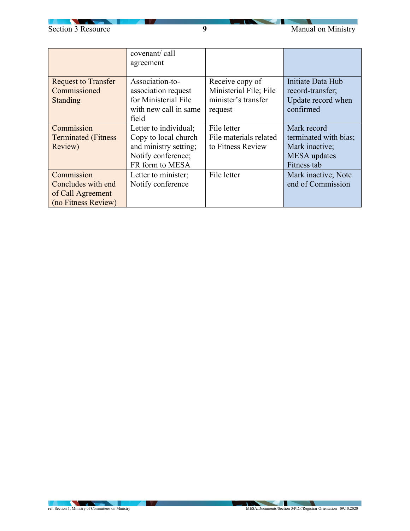

|                                                                              | covenant/call<br>agreement                                                                                      |                                                                             |                                                                                              |
|------------------------------------------------------------------------------|-----------------------------------------------------------------------------------------------------------------|-----------------------------------------------------------------------------|----------------------------------------------------------------------------------------------|
| <b>Request to Transfer</b><br>Commissioned<br><b>Standing</b>                | Association-to-<br>association request<br>for Ministerial File<br>with new call in same<br>field                | Receive copy of<br>Ministerial File; File<br>minister's transfer<br>request | Initiate Data Hub<br>record-transfer;<br>Update record when<br>confirmed                     |
| Commission<br><b>Terminated</b> (Fitness<br>Review)                          | Letter to individual;<br>Copy to local church<br>and ministry setting;<br>Notify conference;<br>FR form to MESA | File letter<br>File materials related<br>to Fitness Review                  | Mark record<br>terminated with bias;<br>Mark inactive;<br><b>MESA</b> updates<br>Fitness tab |
| Commission<br>Concludes with end<br>of Call Agreement<br>(no Fitness Review) | Letter to minister;<br>Notify conference                                                                        | File letter                                                                 | Mark inactive; Note<br>end of Commission                                                     |

**AND VALUE**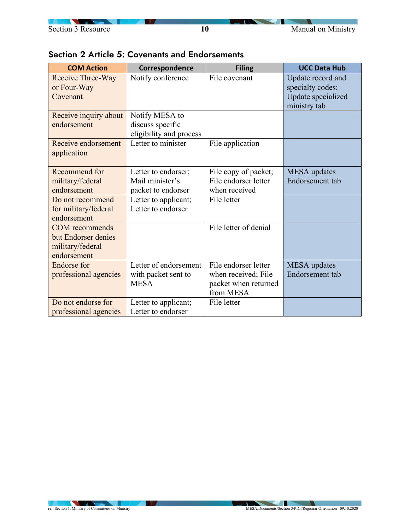∽

|  |  | Section 2 Article 5: Covenants and Endorsements |
|--|--|-------------------------------------------------|
|--|--|-------------------------------------------------|

| <b>COM Action</b>                                                               | Correspondence                                                | <b>Filing</b>                                                                    | <b>UCC Data Hub</b>                                                         |
|---------------------------------------------------------------------------------|---------------------------------------------------------------|----------------------------------------------------------------------------------|-----------------------------------------------------------------------------|
| Receive Three-Way<br>or Four-Way<br>Covenant                                    | Notify conference                                             | File covenant                                                                    | Update record and<br>specialty codes;<br>Update specialized<br>ministry tab |
| Receive inquiry about<br>endorsement                                            | Notify MESA to<br>discuss specific<br>eligibility and process |                                                                                  |                                                                             |
| Receive endorsement<br>application                                              | Letter to minister                                            | File application                                                                 |                                                                             |
| Recommend for<br>military/federal<br>endorsement                                | Letter to endorser;<br>Mail minister's<br>packet to endorser  | File copy of packet;<br>File endorser letter<br>when received                    | <b>MESA</b> updates<br>Endorsement tab                                      |
| Do not recommend<br>for military/federal<br>endorsement                         | Letter to applicant;<br>Letter to endorser                    | File letter                                                                      |                                                                             |
| <b>COM</b> recommends<br>but Endorser denies<br>military/federal<br>endorsement |                                                               | File letter of denial                                                            |                                                                             |
| <b>Endorse</b> for<br>professional agencies                                     | Letter of endorsement<br>with packet sent to<br><b>MESA</b>   | File endorser letter<br>when received; File<br>packet when returned<br>from MESA | <b>MESA</b> updates<br>Endorsement tab                                      |
| Do not endorse for<br>professional agencies                                     | Letter to applicant;<br>Letter to endorser                    | File letter                                                                      |                                                                             |

**No. 1999**